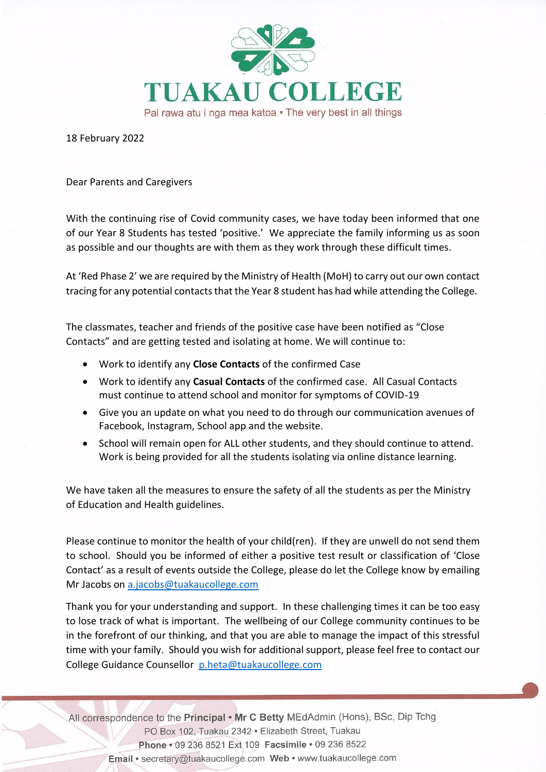

18 February 2022

## Dear Parents and Caregivers

With the continuing rise of Covid community cases, we have today been informed that one of our Year 8 Students has tested 'positive.' We appreciate the family informing us as soon as possible and our thoughts are with them as they work through these difficult times.

At 'Red Phase 2' we are required by the Ministry of Health (MoH) to carry out our own contact tracing for any potential contacts that the Year 8 student has had while attending the College.

The classmates, teacher and friends of the positive case have been notified as "Close Contacts" and are getting tested and isolating at home. We will continue to:

- Work to identify any **Close Contacts** of the confirmed Case
- Work to identify any **Casual Contacts** of the confirmed case. All Casual Contacts must continue to attend school and monitor for symptoms of COVID-19
- Give you an update on what you need to do through our communication avenues of Facebook, Instagram, School app and the website.
- School will remain open for ALL other students, and they should continue to attend. Work is being provided for all the students isolating via online distance learning.

We have taken all the measures to ensure the safety of all the students as per the Ministry of Education and Health guidelines.

Please continue to monitor the health of your child(ren). If they are unwell do not send them to school. Should you be informed of either a positive test result or classification of 'Close Contact' as a result of events outside the College, please do let the College know by emailing Mr Jacobs on [a.jacobs@tuakaucollege.com](mailto:a.jacobs@tuakaucollege.com)

Thank you for your understanding and support. In these challenging times it can be too easy to lose track of what is important. The wellbeing of our College community continues to be in the forefront of our thinking, and that you are able to manage the impact of this stressful time with your family. Should you wish for additional support, please feel free to contact our College Guidance Counsellor [p.heta@tuakaucollege.com](mailto:p.heta@tuakaucollege.com)

All correspondence to the Principal . Mr C Betty MEdAdmin (Hons), BSc, Dip Tchg PO Box 102, Tuakau 2342 · Elizabeth Street, Tuakau Phone · 09 236 8521 Ext 109 Facsimile · 09 236 8522 Email · secretary@tuakaucollege.com Web · www.tuakaucollege.com